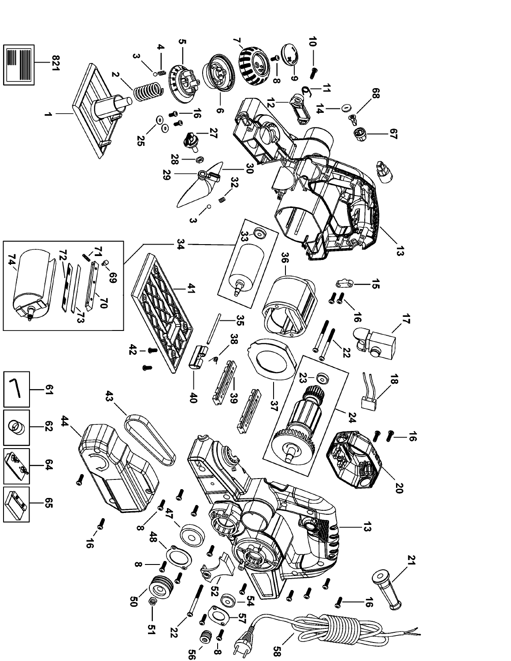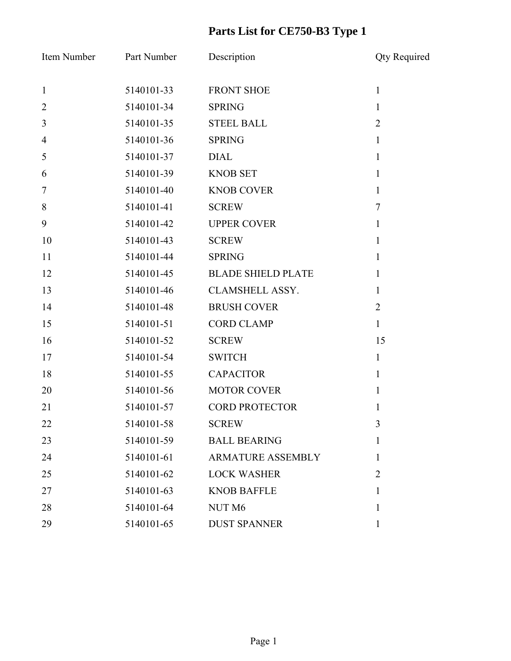## **Parts List for CE750-B3 Type 1**

| Item Number    | <b>Part Number</b> | Description               | <b>Qty Required</b> |
|----------------|--------------------|---------------------------|---------------------|
| $\mathbf{1}$   | 5140101-33         | <b>FRONT SHOE</b>         | $\mathbf{1}$        |
| $\overline{2}$ | 5140101-34         | <b>SPRING</b>             | $\mathbf{1}$        |
| $\overline{3}$ | 5140101-35         | <b>STEEL BALL</b>         | $\overline{2}$      |
| $\overline{4}$ | 5140101-36         | <b>SPRING</b>             | $\mathbf{1}$        |
| 5              | 5140101-37         | <b>DIAL</b>               | $\mathbf{1}$        |
| 6              | 5140101-39         | <b>KNOB SET</b>           | $\mathbf{1}$        |
| $\overline{7}$ | 5140101-40         | <b>KNOB COVER</b>         | $\mathbf{1}$        |
| 8              | 5140101-41         | <b>SCREW</b>              | $\overline{7}$      |
| 9              | 5140101-42         | <b>UPPER COVER</b>        | $\mathbf{1}$        |
| 10             | 5140101-43         | <b>SCREW</b>              | $\mathbf{1}$        |
| 11             | 5140101-44         | <b>SPRING</b>             | $\mathbf{1}$        |
| 12             | 5140101-45         | <b>BLADE SHIELD PLATE</b> | $\mathbf{1}$        |
| 13             | 5140101-46         | CLAMSHELL ASSY.           | $\mathbf{1}$        |
| 14             | 5140101-48         | <b>BRUSH COVER</b>        | $\overline{2}$      |
| 15             | 5140101-51         | <b>CORD CLAMP</b>         | $\mathbf{1}$        |
| 16             | 5140101-52         | <b>SCREW</b>              | 15                  |
| 17             | 5140101-54         | <b>SWITCH</b>             | $\mathbf{1}$        |
| 18             | 5140101-55         | <b>CAPACITOR</b>          | $\mathbf{1}$        |
| 20             | 5140101-56         | <b>MOTOR COVER</b>        | $\mathbf{1}$        |
| 21             | 5140101-57         | <b>CORD PROTECTOR</b>     | 1                   |
| 22             | 5140101-58         | <b>SCREW</b>              | 3                   |
| 23             | 5140101-59         | <b>BALL BEARING</b>       | $\mathbf{1}$        |
| 24             | 5140101-61         | <b>ARMATURE ASSEMBLY</b>  | 1                   |
| 25             | 5140101-62         | <b>LOCK WASHER</b>        | $\overline{2}$      |
| 27             | 5140101-63         | <b>KNOB BAFFLE</b>        | 1                   |
| 28             | 5140101-64         | NUT M6                    | 1                   |
| 29             | 5140101-65         | <b>DUST SPANNER</b>       | 1                   |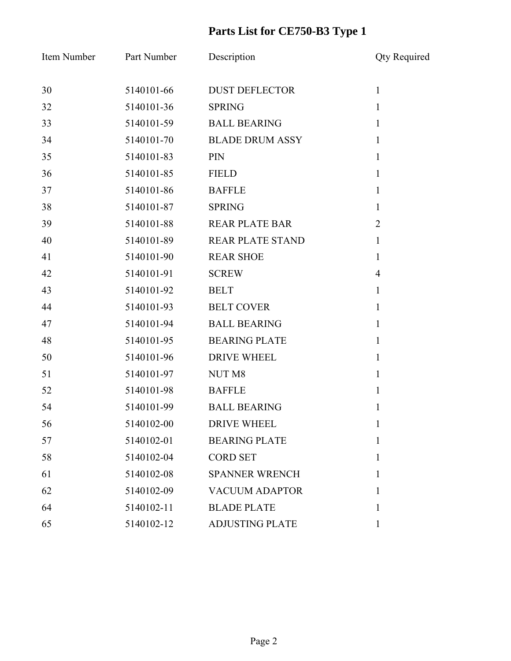## **Parts List for CE750-B3 Type 1**

| Item Number | Part Number | Description             | <b>Qty Required</b> |
|-------------|-------------|-------------------------|---------------------|
| 30          | 5140101-66  | <b>DUST DEFLECTOR</b>   | $\mathbf{1}$        |
| 32          | 5140101-36  | <b>SPRING</b>           | $\mathbf{1}$        |
| 33          | 5140101-59  | <b>BALL BEARING</b>     | $\mathbf{1}$        |
| 34          | 5140101-70  | <b>BLADE DRUM ASSY</b>  | $\mathbf{1}$        |
| 35          | 5140101-83  | <b>PIN</b>              | $\mathbf{1}$        |
| 36          | 5140101-85  | <b>FIELD</b>            | $\mathbf{1}$        |
| 37          | 5140101-86  | <b>BAFFLE</b>           | $\mathbf{1}$        |
| 38          | 5140101-87  | <b>SPRING</b>           | $\mathbf{1}$        |
| 39          | 5140101-88  | <b>REAR PLATE BAR</b>   | $\overline{2}$      |
| 40          | 5140101-89  | <b>REAR PLATE STAND</b> | $\mathbf{1}$        |
| 41          | 5140101-90  | <b>REAR SHOE</b>        | $\mathbf{1}$        |
| 42          | 5140101-91  | <b>SCREW</b>            | $\overline{4}$      |
| 43          | 5140101-92  | <b>BELT</b>             | $\mathbf{1}$        |
| 44          | 5140101-93  | <b>BELT COVER</b>       | $\mathbf{1}$        |
| 47          | 5140101-94  | <b>BALL BEARING</b>     | $\mathbf{1}$        |
| 48          | 5140101-95  | <b>BEARING PLATE</b>    | $\mathbf{1}$        |
| 50          | 5140101-96  | <b>DRIVE WHEEL</b>      | $\mathbf{1}$        |
| 51          | 5140101-97  | NUT M8                  | $\mathbf{1}$        |
| 52          | 5140101-98  | <b>BAFFLE</b>           | $\mathbf{1}$        |
| 54          | 5140101-99  | <b>BALL BEARING</b>     | 1                   |
| 56          | 5140102-00  | <b>DRIVE WHEEL</b>      | $\bf{l}$            |
| 57          | 5140102-01  | <b>BEARING PLATE</b>    | $\mathbf{1}$        |
| 58          | 5140102-04  | <b>CORD SET</b>         | 1                   |
| 61          | 5140102-08  | <b>SPANNER WRENCH</b>   | 1                   |
| 62          | 5140102-09  | <b>VACUUM ADAPTOR</b>   | $\mathbf{1}$        |
| 64          | 5140102-11  | <b>BLADE PLATE</b>      | 1                   |
| 65          | 5140102-12  | <b>ADJUSTING PLATE</b>  | $\mathbf{1}$        |